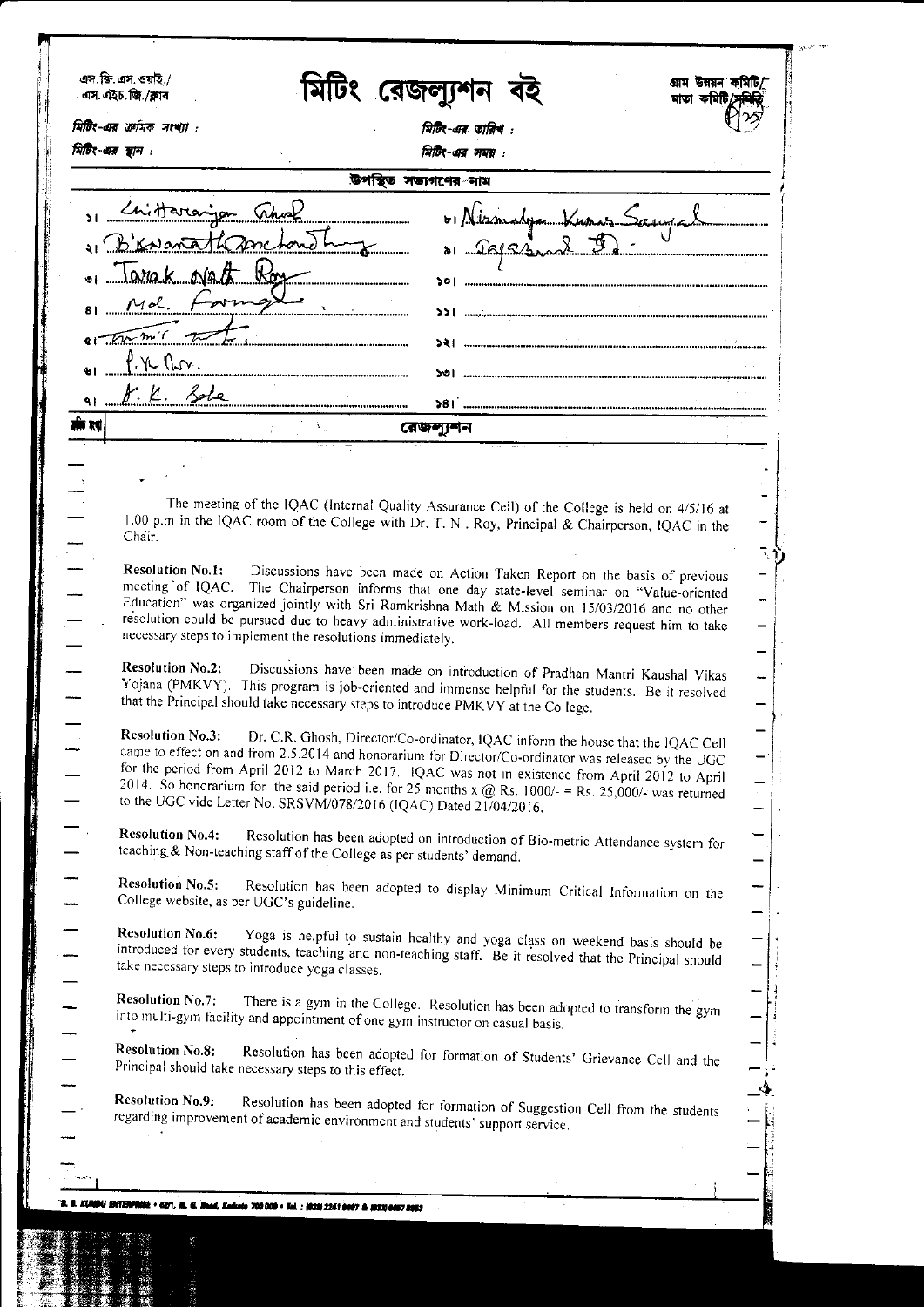| মিটিং-এর স্থান : | মিটিং-এর ক্রমিক সংখ্যা :<br>মিটিং-এর তারিখ :                                                                                                                                                               |  |
|------------------|------------------------------------------------------------------------------------------------------------------------------------------------------------------------------------------------------------|--|
|                  | त्रिग्रि-এর সময় :<br>উপস্থিত সভ্যগণের নাম                                                                                                                                                                 |  |
|                  |                                                                                                                                                                                                            |  |
|                  | 1 Chittararjan This<br>01 Mismalga Kunaz Sanyal                                                                                                                                                            |  |
|                  | 1 Brevarathanchonot<br>a Safesmal 5<br>$\begin{array}{c}\n\hline\n\hline\n\end{array}$                                                                                                                     |  |
|                  | . Tarak Natt Roy                                                                                                                                                                                           |  |
|                  | 81 Md Form                                                                                                                                                                                                 |  |
|                  | $\epsilon$                                                                                                                                                                                                 |  |
|                  | $\int \gamma$ (Lo.                                                                                                                                                                                         |  |
|                  | r.K. Sole                                                                                                                                                                                                  |  |
| ۹۱<br>र्सन रूप   |                                                                                                                                                                                                            |  |
|                  | রেজল্যুশন<br>$\mathcal{L}_{\mathcal{E}}^{\mathcal{E}}$ .                                                                                                                                                   |  |
|                  |                                                                                                                                                                                                            |  |
|                  | The meeting of the IQAC (Internal Quality Assurance Cell) of the College is held on 4/5/16 at                                                                                                              |  |
|                  | 1.00 p.m in the IQAC room of the College with Dr. T. N. Roy, Principal & Chairperson, IQAC in the                                                                                                          |  |
|                  | Chair.                                                                                                                                                                                                     |  |
|                  | <b>Resolution No.1:</b><br>Discussions have been made on Action Taken Report on the basis of previous                                                                                                      |  |
|                  | meeting of IQAC. The Chairperson informs that one day state-level seminar on "Value-oriented<br>Education" was organized jointly with Sri Ramkrishna Math & Mission on 15/03/2016 and no other             |  |
|                  | resolution could be pursued due to heavy administrative work-load. All members request him to take<br>necessary steps to implement the resolutions immediately.                                            |  |
|                  |                                                                                                                                                                                                            |  |
|                  | <b>Resolution No.2:</b><br>Discussions have been made on introduction of Pradhan Mantri Kaushal Vikas<br>Yojana (PMKVY). This program is job-oriented and immense helpful for the students. Be it resolved |  |
|                  | that the Principal should take necessary steps to introduce PMKVY at the College.                                                                                                                          |  |
|                  | <b>Resolution No.3:</b><br>Dr. C.R. Ghosh, Director/Co-ordinator, IQAC inform the house that the IQAC Cell                                                                                                 |  |
|                  | came to effect on and from 2.5.2014 and honorarium for Director/Co-ordinator was released by the UGC<br>for the period from April 2012 to March 2017. IQAC was not in existence from April 2012 to April   |  |
|                  | 2014. So honorarium for the said period i.e. for 25 months x @ Rs. 1000/- = Rs. 25,000/- was returned                                                                                                      |  |
|                  | to the UGC vide Letter No. SRSVM/078/2016 (IQAC) Dated 21/04/2016.                                                                                                                                         |  |
|                  | <b>Resolution No.4:</b><br>Resolution has been adopted on introduction of Bio-metric Attendance system for                                                                                                 |  |
|                  | teaching & Non-teaching staff of the College as per students' demand.                                                                                                                                      |  |
|                  | <b>Resolution No.5:</b><br>Resolution has been adopted to display Minimum Critical Information on the<br>College website, as per UGC's guideline.                                                          |  |
|                  | <b>Resolution No.6:</b>                                                                                                                                                                                    |  |
|                  | Yoga is helpful to sustain healthy and yoga class on weekend basis should be<br>introduced for every students, teaching and non-teaching staff. Be it resolved that the Principal should                   |  |
|                  | take necessary steps to introduce yoga classes.                                                                                                                                                            |  |
|                  | <b>Resolution No.7:</b><br>There is a gym in the College. Resolution has been adopted to transform the gym                                                                                                 |  |
|                  | into multi-gym facility and appointment of one gym instructor on casual basis.                                                                                                                             |  |
|                  | <b>Resolution No.8:</b><br>Resolution has been adopted for formation of Students' Grievance Cell and the<br>Principal should take necessary steps to this effect.                                          |  |
|                  |                                                                                                                                                                                                            |  |
|                  | <b>Resolution No.9:</b><br>Resolution has been adopted for formation of Suggestion Cell from the students<br>regarding improvement of academic environment and students' support service.                  |  |
|                  |                                                                                                                                                                                                            |  |
|                  |                                                                                                                                                                                                            |  |
|                  |                                                                                                                                                                                                            |  |
|                  | XUNDU IBITERFRIBE + 62/1, NL G. Read, Kallata 700 000 + Tal. ; (622) 2241 8497 & (833) 6487 2862                                                                                                           |  |

is<br>B i<br>B